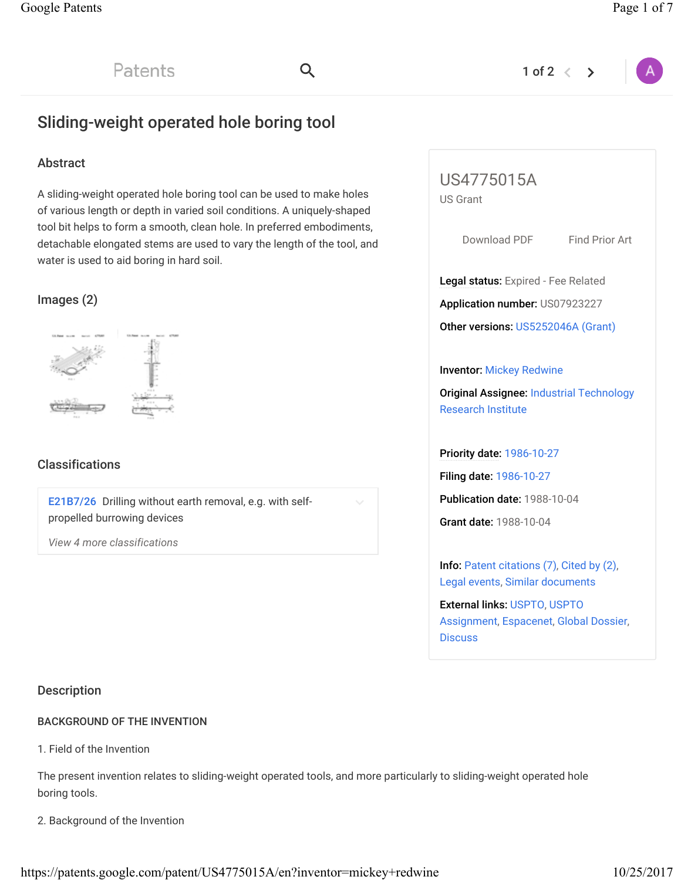# Patents

# Sliding-weight operated hole boring tool

## Abstract

A sliding-weight operated hole boring tool can be used to make holes of various length or depth in varied soil conditions. A uniquely-shaped tool bit helps to form a smooth, clean hole. In preferred embodiments, detachable elongated stems are used to vary the length of the tool, and water is used to aid boring in hard soil.

Q

## Images (2)



## **Classifications**

E21B7/26 Drilling without earth removal, e.g. with selfpropelled burrowing devices

*View 4 more classifications*

# Description

### BACKGROUND OF THE INVENTION

1. Field of the Invention

The present invention relates to sliding-weight operated tools, and more particularly to sliding-weight operated hole boring tools.

2. Background of the Invention



1 of 2  $\langle$ 

 $\rightarrow$ 

Legal status: Expired - Fee Related

Application number: US07923227

Other versions: US5252046A (Grant)

Inventor: Mickey Redwine

**Original Assignee: Industrial Technology** Research Institute

Priority date: 1986-10-27

Filing date: 1986-10-27

Publication date: 1988-10-04

Grant date: 1988-10-04

Info: Patent citations (7), Cited by (2), Legal events, Similar documents

External links: USPTO, USPTO Assignment, Espacenet, Global Dossier, **Discuss**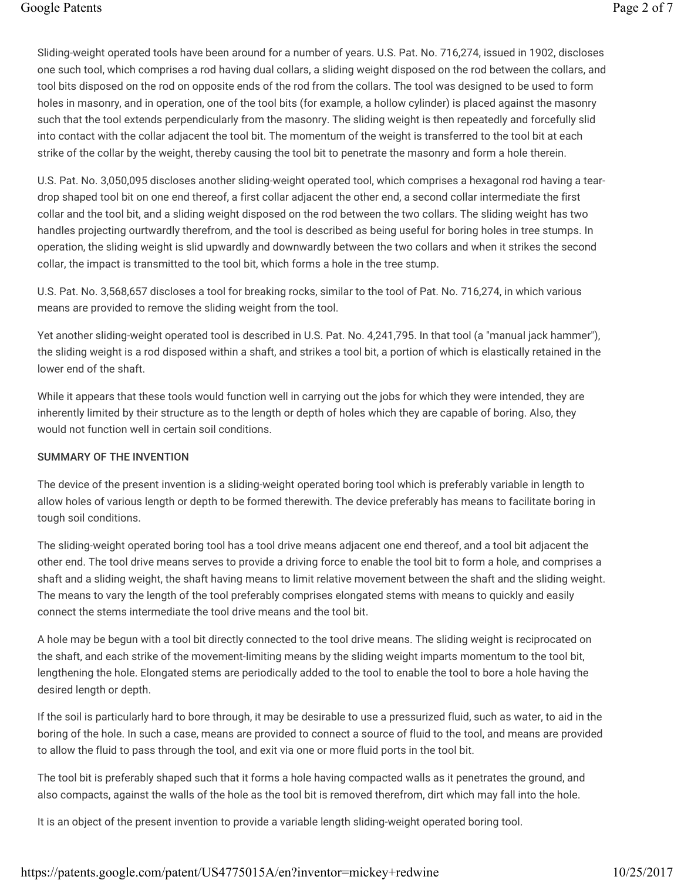Sliding-weight operated tools have been around for a number of years. U.S. Pat. No. 716,274, issued in 1902, discloses one such tool, which comprises a rod having dual collars, a sliding weight disposed on the rod between the collars, and tool bits disposed on the rod on opposite ends of the rod from the collars. The tool was designed to be used to form holes in masonry, and in operation, one of the tool bits (for example, a hollow cylinder) is placed against the masonry such that the tool extends perpendicularly from the masonry. The sliding weight is then repeatedly and forcefully slid into contact with the collar adjacent the tool bit. The momentum of the weight is transferred to the tool bit at each strike of the collar by the weight, thereby causing the tool bit to penetrate the masonry and form a hole therein.

U.S. Pat. No. 3,050,095 discloses another sliding-weight operated tool, which comprises a hexagonal rod having a teardrop shaped tool bit on one end thereof, a first collar adjacent the other end, a second collar intermediate the first collar and the tool bit, and a sliding weight disposed on the rod between the two collars. The sliding weight has two handles projecting ourtwardly therefrom, and the tool is described as being useful for boring holes in tree stumps. In operation, the sliding weight is slid upwardly and downwardly between the two collars and when it strikes the second collar, the impact is transmitted to the tool bit, which forms a hole in the tree stump.

U.S. Pat. No. 3,568,657 discloses a tool for breaking rocks, similar to the tool of Pat. No. 716,274, in which various means are provided to remove the sliding weight from the tool.

Yet another sliding-weight operated tool is described in U.S. Pat. No. 4,241,795. In that tool (a "manual jack hammer"), the sliding weight is a rod disposed within a shaft, and strikes a tool bit, a portion of which is elastically retained in the lower end of the shaft.

While it appears that these tools would function well in carrying out the jobs for which they were intended, they are inherently limited by their structure as to the length or depth of holes which they are capable of boring. Also, they would not function well in certain soil conditions.

### SUMMARY OF THE INVENTION

The device of the present invention is a sliding-weight operated boring tool which is preferably variable in length to allow holes of various length or depth to be formed therewith. The device preferably has means to facilitate boring in tough soil conditions.

The sliding-weight operated boring tool has a tool drive means adjacent one end thereof, and a tool bit adjacent the other end. The tool drive means serves to provide a driving force to enable the tool bit to form a hole, and comprises a shaft and a sliding weight, the shaft having means to limit relative movement between the shaft and the sliding weight. The means to vary the length of the tool preferably comprises elongated stems with means to quickly and easily connect the stems intermediate the tool drive means and the tool bit.

A hole may be begun with a tool bit directly connected to the tool drive means. The sliding weight is reciprocated on the shaft, and each strike of the movement-limiting means by the sliding weight imparts momentum to the tool bit, lengthening the hole. Elongated stems are periodically added to the tool to enable the tool to bore a hole having the desired length or depth.

If the soil is particularly hard to bore through, it may be desirable to use a pressurized fluid, such as water, to aid in the boring of the hole. In such a case, means are provided to connect a source of fluid to the tool, and means are provided to allow the fluid to pass through the tool, and exit via one or more fluid ports in the tool bit.

The tool bit is preferably shaped such that it forms a hole having compacted walls as it penetrates the ground, and also compacts, against the walls of the hole as the tool bit is removed therefrom, dirt which may fall into the hole.

It is an object of the present invention to provide a variable length sliding-weight operated boring tool.